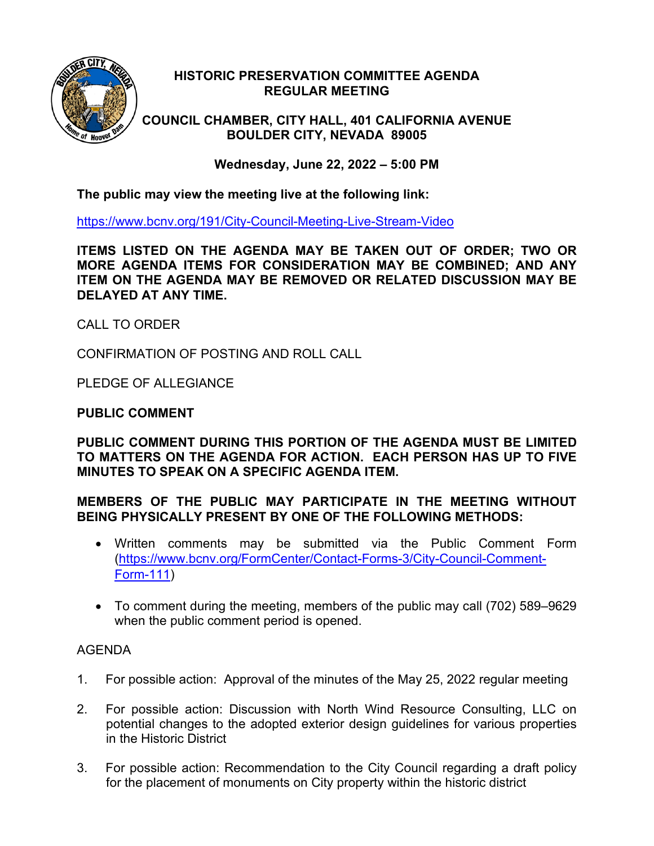

## **HISTORIC PRESERVATION COMMITTEE AGENDA REGULAR MEETING**

**COUNCIL CHAMBER, CITY HALL, 401 CALIFORNIA AVENUE BOULDER CITY, NEVADA 89005**

**Wednesday, June 22, 2022 – 5:00 PM**

**The public may view the meeting live at the following link:**

<https://www.bcnv.org/191/City-Council-Meeting-Live-Stream-Video>

**ITEMS LISTED ON THE AGENDA MAY BE TAKEN OUT OF ORDER; TWO OR MORE AGENDA ITEMS FOR CONSIDERATION MAY BE COMBINED; AND ANY ITEM ON THE AGENDA MAY BE REMOVED OR RELATED DISCUSSION MAY BE DELAYED AT ANY TIME.**

CALL TO ORDER

CONFIRMATION OF POSTING AND ROLL CALL

PLEDGE OF ALLEGIANCE

## **PUBLIC COMMENT**

**PUBLIC COMMENT DURING THIS PORTION OF THE AGENDA MUST BE LIMITED TO MATTERS ON THE AGENDA FOR ACTION. EACH PERSON HAS UP TO FIVE MINUTES TO SPEAK ON A SPECIFIC AGENDA ITEM.**

## **MEMBERS OF THE PUBLIC MAY PARTICIPATE IN THE MEETING WITHOUT BEING PHYSICALLY PRESENT BY ONE OF THE FOLLOWING METHODS:**

- Written comments may be submitted via the Public Comment Form [\(https://www.bcnv.org/FormCenter/Contact-Forms-3/City-Council-Comment-](https://www.bcnv.org/FormCenter/Contact-Forms-3/City-Council-Comment-Form-111)[Form-111\)](https://www.bcnv.org/FormCenter/Contact-Forms-3/City-Council-Comment-Form-111)
- To comment during the meeting, members of the public may call (702) 589–9629 when the public comment period is opened.

## AGENDA

- 1. For possible action: Approval of the minutes of the May 25, 2022 regular meeting
- 2. For possible action: Discussion with North Wind Resource Consulting, LLC on potential changes to the adopted exterior design guidelines for various properties in the Historic District
- 3. For possible action: Recommendation to the City Council regarding a draft policy for the placement of monuments on City property within the historic district